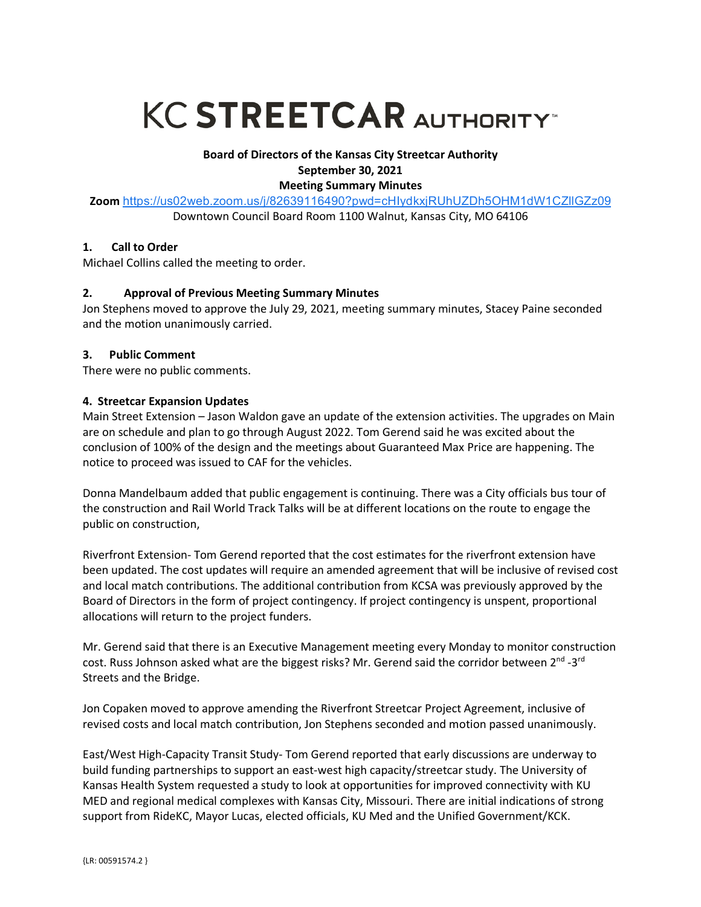# **KC STREETCAR AUTHORITY**

# **Board of Directors of the Kansas City Streetcar Authority September 30, 2021**

# **Meeting Summary Minutes**

**Zoom** https://us02web.zoom.us/j/82639116490?pwd=cHIydkxjRUhUZDh5OHM1dW1CZllGZz09

Downtown Council Board Room 1100 Walnut, Kansas City, MO 64106

# **1. Call to Order**

Michael Collins called the meeting to order.

# **2. Approval of Previous Meeting Summary Minutes**

Jon Stephens moved to approve the July 29, 2021, meeting summary minutes, Stacey Paine seconded and the motion unanimously carried.

## **3. Public Comment**

There were no public comments.

# **4. Streetcar Expansion Updates**

Main Street Extension – Jason Waldon gave an update of the extension activities. The upgrades on Main are on schedule and plan to go through August 2022. Tom Gerend said he was excited about the conclusion of 100% of the design and the meetings about Guaranteed Max Price are happening. The notice to proceed was issued to CAF for the vehicles.

Donna Mandelbaum added that public engagement is continuing. There was a City officials bus tour of the construction and Rail World Track Talks will be at different locations on the route to engage the public on construction,

Riverfront Extension- Tom Gerend reported that the cost estimates for the riverfront extension have been updated. The cost updates will require an amended agreement that will be inclusive of revised cost and local match contributions. The additional contribution from KCSA was previously approved by the Board of Directors in the form of project contingency. If project contingency is unspent, proportional allocations will return to the project funders.

Mr. Gerend said that there is an Executive Management meeting every Monday to monitor construction cost. Russ Johnson asked what are the biggest risks? Mr. Gerend said the corridor between  $2^{nd}$  -3<sup>rd</sup> Streets and the Bridge.

Jon Copaken moved to approve amending the Riverfront Streetcar Project Agreement, inclusive of revised costs and local match contribution, Jon Stephens seconded and motion passed unanimously.

East/West High-Capacity Transit Study- Tom Gerend reported that early discussions are underway to build funding partnerships to support an east-west high capacity/streetcar study. The University of Kansas Health System requested a study to look at opportunities for improved connectivity with KU MED and regional medical complexes with Kansas City, Missouri. There are initial indications of strong support from RideKC, Mayor Lucas, elected officials, KU Med and the Unified Government/KCK.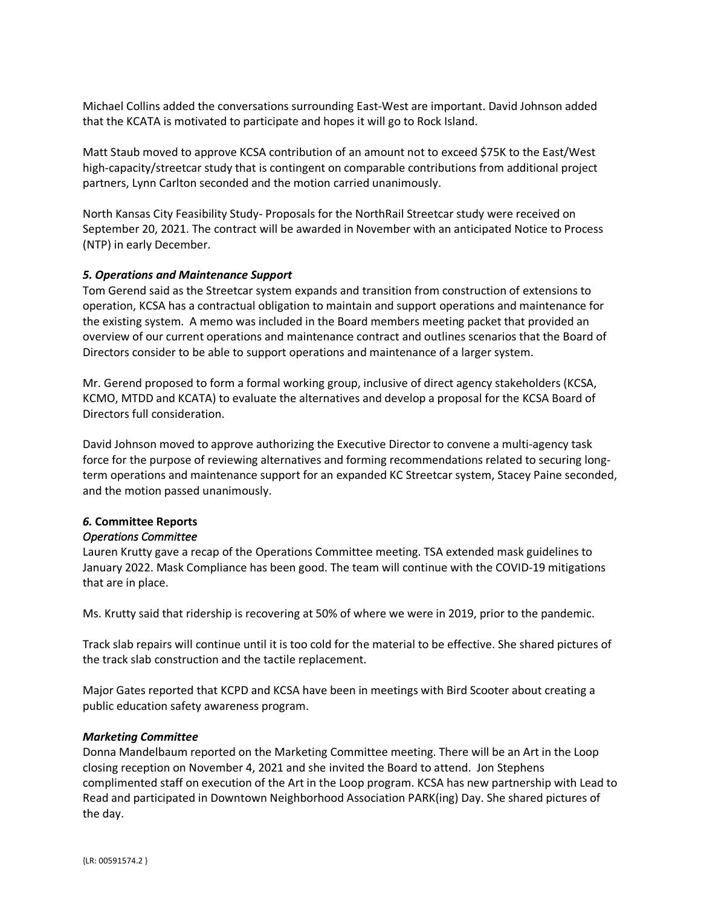Michael Collins added the conversations surrounding East-West are important. David Johnson added that the KCATA is motivated to participate and hopes it will go to Rock Island.

Matt Staub moved to approve KCSA contribution of an amount not to exceed \$75K to the East/West high-capacity/streetcar study that is contingent on comparable contributions from additional project partners, Lynn Carlton seconded and the motion carried unanimously.

North Kansas City Feasibility Study- Proposals for the NorthRail Streetcar study were received on September 20, 2021. The contract will be awarded in November with an anticipated Notice to Process (NTP) in early December.

#### *5. Operations and Maintenance Support*

Tom Gerend said as the Streetcar system expands and transition from construction of extensions to operation, KCSA has a contractual obligation to maintain and support operations and maintenance for the existing system. A memo was included in the Board members meeting packet that provided an overview of our current operations and maintenance contract and outlines scenarios that the Board of Directors consider to be able to support operations and maintenance of a larger system.

Mr. Gerend proposed to form a formal working group, inclusive of direct agency stakeholders (KCSA, KCMO, MTDD and KCATA) to evaluate the alternatives and develop a proposal for the KCSA Board of Directors full consideration.

David Johnson moved to approve authorizing the Executive Director to convene a multi-agency task force for the purpose of reviewing alternatives and forming recommendations related to securing longterm operations and maintenance support for an expanded KC Streetcar system, Stacey Paine seconded, and the motion passed unanimously.

## *6.* **Committee Reports**

#### *Operations Committee*

Lauren Krutty gave a recap of the Operations Committee meeting. TSA extended mask guidelines to January 2022. Mask Compliance has been good. The team will continue with the COVID-19 mitigations that are in place.

Ms. Krutty said that ridership is recovering at 50% of where we were in 2019, prior to the pandemic.

Track slab repairs will continue until it is too cold for the material to be effective. She shared pictures of the track slab construction and the tactile replacement.

Major Gates reported that KCPD and KCSA have been in meetings with Bird Scooter about creating a public education safety awareness program.

#### *Marketing Committee*

Donna Mandelbaum reported on the Marketing Committee meeting. There will be an Art in the Loop closing reception on November 4, 2021 and she invited the Board to attend. Jon Stephens complimented staff on execution of the Art in the Loop program. KCSA has new partnership with Lead to Read and participated in Downtown Neighborhood Association PARK(ing) Day. She shared pictures of the day.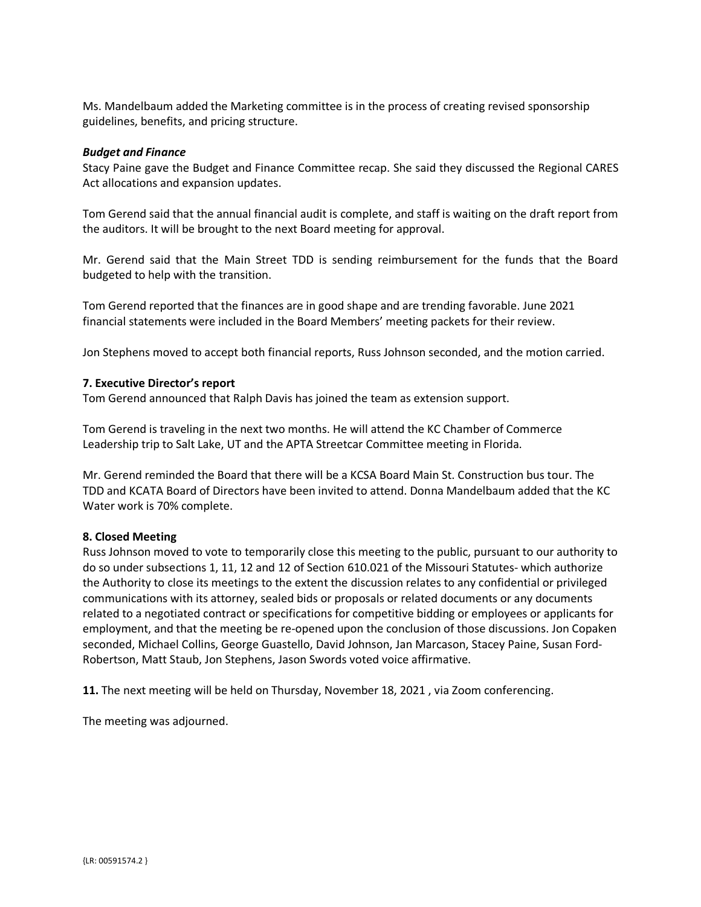Ms. Mandelbaum added the Marketing committee is in the process of creating revised sponsorship guidelines, benefits, and pricing structure.

#### *Budget and Finance*

Stacy Paine gave the Budget and Finance Committee recap. She said they discussed the Regional CARES Act allocations and expansion updates.

Tom Gerend said that the annual financial audit is complete, and staff is waiting on the draft report from the auditors. It will be brought to the next Board meeting for approval.

Mr. Gerend said that the Main Street TDD is sending reimbursement for the funds that the Board budgeted to help with the transition.

Tom Gerend reported that the finances are in good shape and are trending favorable. June 2021 financial statements were included in the Board Members' meeting packets for their review.

Jon Stephens moved to accept both financial reports, Russ Johnson seconded, and the motion carried.

#### **7. Executive Director's report**

Tom Gerend announced that Ralph Davis has joined the team as extension support.

Tom Gerend is traveling in the next two months. He will attend the KC Chamber of Commerce Leadership trip to Salt Lake, UT and the APTA Streetcar Committee meeting in Florida.

Mr. Gerend reminded the Board that there will be a KCSA Board Main St. Construction bus tour. The TDD and KCATA Board of Directors have been invited to attend. Donna Mandelbaum added that the KC Water work is 70% complete.

#### **8. Closed Meeting**

Russ Johnson moved to vote to temporarily close this meeting to the public, pursuant to our authority to do so under subsections 1, 11, 12 and 12 of Section 610.021 of the Missouri Statutes- which authorize the Authority to close its meetings to the extent the discussion relates to any confidential or privileged communications with its attorney, sealed bids or proposals or related documents or any documents related to a negotiated contract or specifications for competitive bidding or employees or applicants for employment, and that the meeting be re-opened upon the conclusion of those discussions. Jon Copaken seconded, Michael Collins, George Guastello, David Johnson, Jan Marcason, Stacey Paine, Susan Ford-Robertson, Matt Staub, Jon Stephens, Jason Swords voted voice affirmative.

**11.** The next meeting will be held on Thursday, November 18, 2021 , via Zoom conferencing.

The meeting was adjourned.